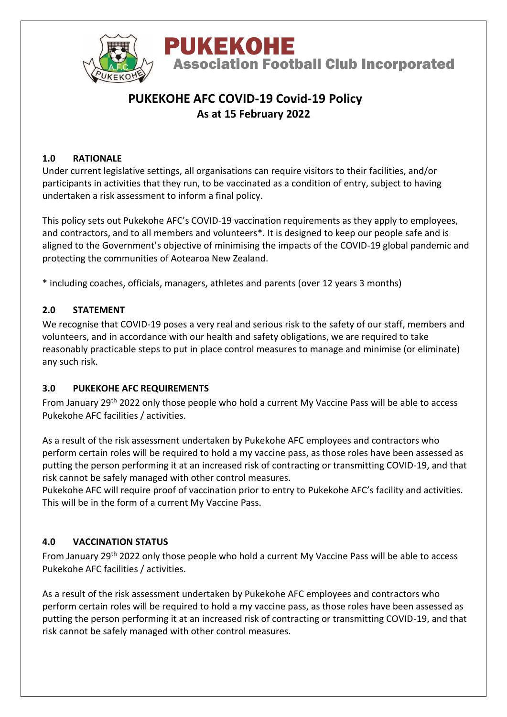

# **PUKEKOHE AFC COVID-19 Covid-19 Policy As at 15 February 2022**

# **1.0 RATIONALE**

Under current legislative settings, all organisations can require visitors to their facilities, and/or participants in activities that they run, to be vaccinated as a condition of entry, subject to having undertaken a risk assessment to inform a final policy.

This policy sets out Pukekohe AFC's COVID-19 vaccination requirements as they apply to employees, and contractors, and to all members and volunteers\*. It is designed to keep our people safe and is aligned to the Government's objective of minimising the impacts of the COVID-19 global pandemic and protecting the communities of Aotearoa New Zealand.

\* including coaches, officials, managers, athletes and parents (over 12 years 3 months)

#### **2.0 STATEMENT**

We recognise that COVID-19 poses a very real and serious risk to the safety of our staff, members and volunteers, and in accordance with our health and safety obligations, we are required to take reasonably practicable steps to put in place control measures to manage and minimise (or eliminate) any such risk.

#### **3.0 PUKEKOHE AFC REQUIREMENTS**

From January 29<sup>th</sup> 2022 only those people who hold a current My Vaccine Pass will be able to access Pukekohe AFC facilities / activities.

As a result of the risk assessment undertaken by Pukekohe AFC employees and contractors who perform certain roles will be required to hold a my vaccine pass, as those roles have been assessed as putting the person performing it at an increased risk of contracting or transmitting COVID-19, and that risk cannot be safely managed with other control measures.

Pukekohe AFC will require proof of vaccination prior to entry to Pukekohe AFC's facility and activities. This will be in the form of a current My Vaccine Pass.

# **4.0 VACCINATION STATUS**

From January 29<sup>th</sup> 2022 only those people who hold a current My Vaccine Pass will be able to access Pukekohe AFC facilities / activities.

As a result of the risk assessment undertaken by Pukekohe AFC employees and contractors who perform certain roles will be required to hold a my vaccine pass, as those roles have been assessed as putting the person performing it at an increased risk of contracting or transmitting COVID-19, and that risk cannot be safely managed with other control measures.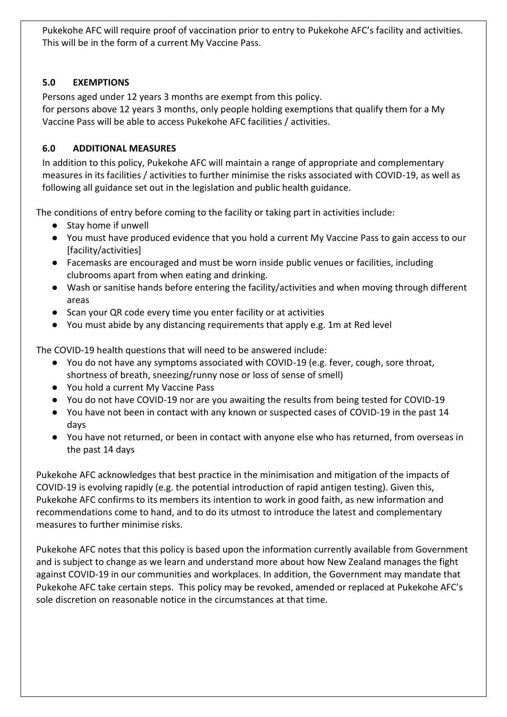Pukekohe AFC will require proof of vaccination prior to entry to Pukekohe AFC's facility and activities. This will be in the form of a current My Vaccine Pass.

# **5.0 EXEMPTIONS**

Persons aged under 12 years 3 months are exempt from this policy. for persons above 12 years 3 months, only people holding exemptions that qualify them for a My Vaccine Pass will be able to access Pukekohe AFC facilities / activities.

# **6.0 ADDITIONAL MEASURES**

In addition to this policy, Pukekohe AFC will maintain a range of appropriate and complementary measures in its facilities / activities to further minimise the risks associated with COVID-19, as well as following all guidance set out in the legislation and public health guidance.

The conditions of entry before coming to the facility or taking part in activities include:

- Stay home if unwell
- You must have produced evidence that you hold a current My Vaccine Pass to gain access to our [facility/activities]
- Facemasks are encouraged and must be worn inside public venues or facilities, including clubrooms apart from when eating and drinking.
- Wash or sanitise hands before entering the facility/activities and when moving through different areas
- Scan your QR code every time you enter facility or at activities
- You must abide by any distancing requirements that apply e.g. 1m at Red level

The COVID-19 health questions that will need to be answered include:

- You do not have any symptoms associated with COVID-19 (e.g. fever, cough, sore throat, shortness of breath, sneezing/runny nose or loss of sense of smell)
- You hold a current My Vaccine Pass
- You do not have COVID-19 nor are you awaiting the results from being tested for COVID-19
- You have not been in contact with any known or suspected cases of COVID-19 in the past 14 days
- You have not returned, or been in contact with anyone else who has returned, from overseas in the past 14 days

Pukekohe AFC acknowledges that best practice in the minimisation and mitigation of the impacts of COVID-19 is evolving rapidly (e.g. the potential introduction of rapid antigen testing). Given this, Pukekohe AFC confirms to its members its intention to work in good faith, as new information and recommendations come to hand, and to do its utmost to introduce the latest and complementary measures to further minimise risks.

Pukekohe AFC notes that this policy is based upon the information currently available from Government and is subject to change as we learn and understand more about how New Zealand manages the fight against COVID-19 in our communities and workplaces. In addition, the Government may mandate that Pukekohe AFC take certain steps. This policy may be revoked, amended or replaced at Pukekohe AFC's sole discretion on reasonable notice in the circumstances at that time.